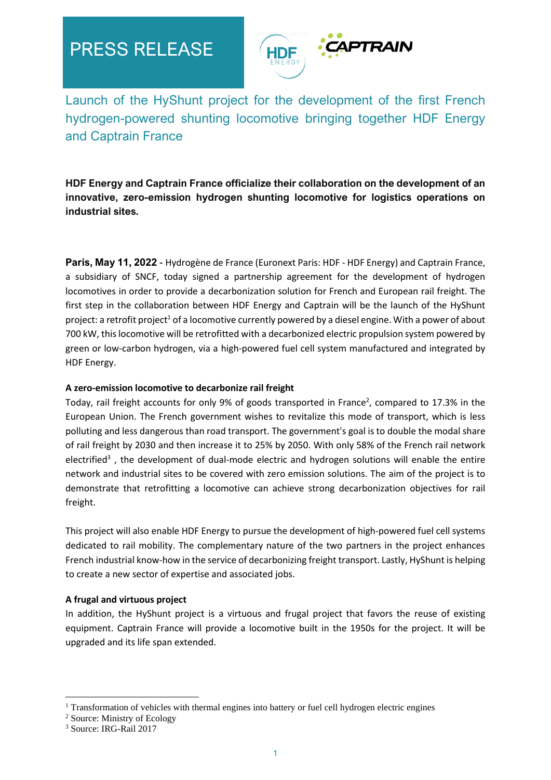# PRESS RELEASE



Launch of the HyShunt project for the development of the first French hydrogen-powered shunting locomotive bringing together HDF Energy and Captrain France

**HDF Energy and Captrain France officialize their collaboration on the development of an innovative, zero-emission hydrogen shunting locomotive for logistics operations on industrial sites.** 

**Paris, May 11, 2022** - Hydrogène de France (Euronext Paris: HDF - HDF Energy) and Captrain France, a subsidiary of SNCF, today signed a partnership agreement for the development of hydrogen locomotives in order to provide a decarbonization solution for French and European rail freight. The first step in the collaboration between HDF Energy and Captrain will be the launch of the HyShunt project: a retrofit project<sup>1</sup> of a locomotive currently powered by a diesel engine. With a power of about 700 kW, this locomotive will be retrofitted with a decarbonized electric propulsion system powered by green or low-carbon hydrogen, via a high-powered fuel cell system manufactured and integrated by HDF Energy.

### **A zero-emission locomotive to decarbonize rail freight**

Today, rail freight accounts for only 9% of goods transported in France<sup>2</sup>, compared to 17.3% in the European Union. The French government wishes to revitalize this mode of transport, which is less polluting and less dangerous than road transport. The government's goal is to double the modal share of rail freight by 2030 and then increase it to 25% by 2050. With only 58% of the French rail network electrified<sup>3</sup>, the development of dual-mode electric and hydrogen solutions will enable the entire network and industrial sites to be covered with zero emission solutions. The aim of the project is to demonstrate that retrofitting a locomotive can achieve strong decarbonization objectives for rail freight.

This project will also enable HDF Energy to pursue the development of high-powered fuel cell systems dedicated to rail mobility. The complementary nature of the two partners in the project enhances French industrial know-how in the service of decarbonizing freight transport. Lastly, HyShunt is helping to create a new sector of expertise and associated jobs.

## **A frugal and virtuous project**

In addition, the HyShunt project is a virtuous and frugal project that favors the reuse of existing equipment. Captrain France will provide a locomotive built in the 1950s for the project. It will be upgraded and its life span extended.

 $1$  Transformation of vehicles with thermal engines into battery or fuel cell hydrogen electric engines

<sup>2</sup> Source: Ministry of Ecology

<sup>3</sup> Source: IRG-Rail 2017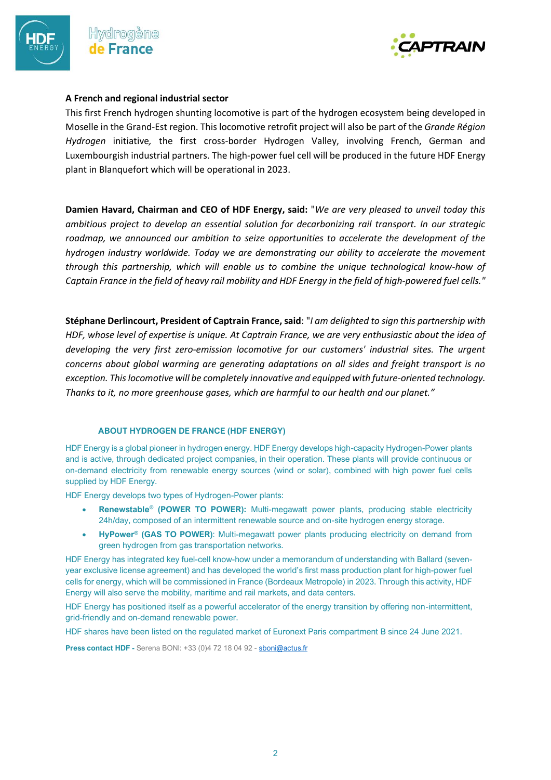



#### **A French and regional industrial sector**

This first French hydrogen shunting locomotive is part of the hydrogen ecosystem being developed in Moselle in the Grand-Est region. This locomotive retrofit project will also be part of the *Grande Région Hydrogen* initiative*,* the first cross-border Hydrogen Valley, involving French, German and Luxembourgish industrial partners. The high-power fuel cell will be produced in the future HDF Energy plant in Blanquefort which will be operational in 2023.

**Damien Havard, Chairman and CEO of HDF Energy, said:** "*We are very pleased to unveil today this ambitious project to develop an essential solution for decarbonizing rail transport. In our strategic roadmap, we announced our ambition to seize opportunities to accelerate the development of the hydrogen industry worldwide. Today we are demonstrating our ability to accelerate the movement through this partnership, which will enable us to combine the unique technological know-how of Captain France in the field of heavy rail mobility and HDF Energy in the field of high-powered fuel cells."*

**Stéphane Derlincourt, President of Captrain France, said**: "*I am delighted to sign this partnership with HDF, whose level of expertise is unique. At Captrain France, we are very enthusiastic about the idea of developing the very first zero-emission locomotive for our customers' industrial sites. The urgent concerns about global warming are generating adaptations on all sides and freight transport is no exception. This locomotive will be completely innovative and equipped with future-oriented technology. Thanks to it, no more greenhouse gases, which are harmful to our health and our planet."*

#### **ABOUT HYDROGEN DE FRANCE (HDF ENERGY)**

HDF Energy is a global pioneer in hydrogen energy. HDF Energy develops high-capacity Hydrogen-Power plants and is active, through dedicated project companies, in their operation. These plants will provide continuous or on-demand electricity from renewable energy sources (wind or solar), combined with high power fuel cells supplied by HDF Energy.

HDF Energy develops two types of Hydrogen-Power plants:

- **Renewstable® (POWER TO POWER):** Multi-megawatt power plants, producing stable electricity 24h/day, composed of an intermittent renewable source and on-site hydrogen energy storage.
- **HyPower® (GAS TO POWER)**: Multi-megawatt power plants producing electricity on demand from green hydrogen from gas transportation networks.

HDF Energy has integrated key fuel-cell know-how under a memorandum of understanding with Ballard (sevenyear exclusive license agreement) and has developed the world's first mass production plant for high-power fuel cells for energy, which will be commissioned in France (Bordeaux Metropole) in 2023. Through this activity, HDF Energy will also serve the mobility, maritime and rail markets, and data centers.

HDF Energy has positioned itself as a powerful accelerator of the energy transition by offering non-intermittent, grid-friendly and on-demand renewable power.

HDF shares have been listed on the regulated market of Euronext Paris compartment B since 24 June 2021.

**Press contact HDF -** Serena BONI: +33 (0)4 72 18 04 92 - [sboni@actus.fr](mailto:sboni@actus.fr)